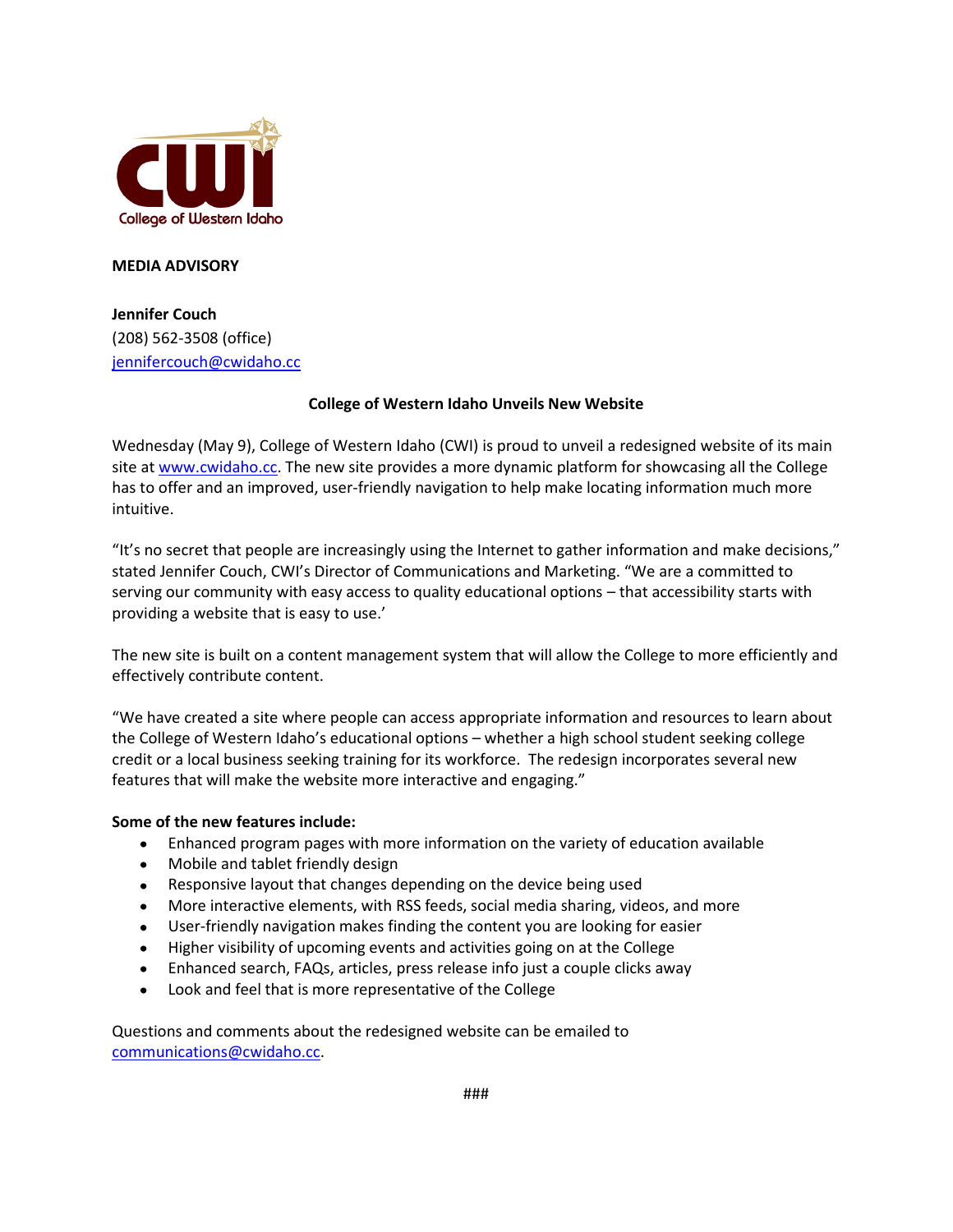

## **MEDIA ADVISORY**

**Jennifer Couch** (208) 562-3508 (office) [jennifercouch@cwidaho.cc](mailto:jennifercouch@cwidaho.cc)

## **College of Western Idaho Unveils New Website**

Wednesday (May 9), College of Western Idaho (CWI) is proud to unveil a redesigned website of its main site at [www.cwidaho.cc.](http://www.cwidaho.cc/) The new site provides a more dynamic platform for showcasing all the College has to offer and an improved, user-friendly navigation to help make locating information much more intuitive.

"It's no secret that people are increasingly using the Internet to gather information and make decisions," stated Jennifer Couch, CWI's Director of Communications and Marketing. "We are a committed to serving our community with easy access to quality educational options – that accessibility starts with providing a website that is easy to use.'

The new site is built on a content management system that will allow the College to more efficiently and effectively contribute content.

"We have created a site where people can access appropriate information and resources to learn about the College of Western Idaho's educational options – whether a high school student seeking college credit or a local business seeking training for its workforce. The redesign incorporates several new features that will make the website more interactive and engaging."

## **Some of the new features include:**

- Enhanced program pages with more information on the variety of education available
- Mobile and tablet friendly design
- Responsive layout that changes depending on the device being used
- More interactive elements, with RSS feeds, social media sharing, videos, and more
- User-friendly navigation makes finding the content you are looking for easier  $\bullet$
- Higher visibility of upcoming events and activities going on at the College
- Enhanced search, FAQs, articles, press release info just a couple clicks away
- $\bullet$ Look and feel that is more representative of the College

Questions and comments about the redesigned website can be emailed to [communications@cwidaho.cc.](mailto:communications@cwidaho.cc)